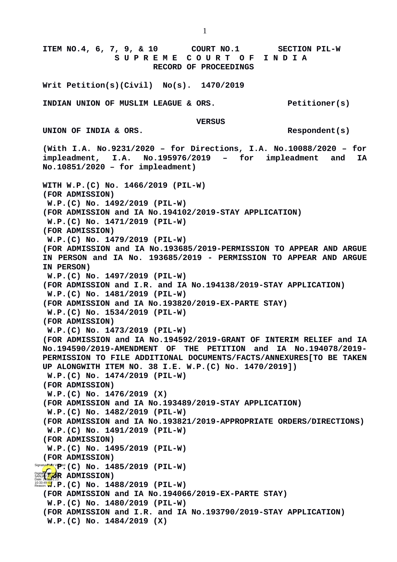**ITEM NO.4, 6, 7, 9, & 10 COURT NO.1 SECTION PIL-W S U P R E M E C O U R T O F I N D I A RECORD OF PROCEEDINGS Writ Petition(s)(Civil) No(s). 1470/2019 INDIAN UNION OF MUSLIM LEAGUE & ORS. Petitioner(s) VERSUS** UNION OF INDIA & ORS. **(With I.A. No.9231/2020 – for Directions, I.A. No.10088/2020 – for impleadment, I.A. No.195976/2019 – for impleadment and IA No.10851/2020 – for impleadment) WITH W.P.(C) No. 1466/2019 (PIL-W) (FOR ADMISSION) W.P.(C) No. 1492/2019 (PIL-W) (FOR ADMISSION and IA No.194102/2019-STAY APPLICATION) W.P.(C) No. 1471/2019 (PIL-W) (FOR ADMISSION) W.P.(C) No. 1479/2019 (PIL-W) (FOR ADMISSION and IA No.193685/2019-PERMISSION TO APPEAR AND ARGUE IN PERSON and IA No. 193685/2019 - PERMISSION TO APPEAR AND ARGUE IN PERSON) W.P.(C) No. 1497/2019 (PIL-W) (FOR ADMISSION and I.R. and IA No.194138/2019-STAY APPLICATION) W.P.(C) No. 1481/2019 (PIL-W) (FOR ADMISSION and IA No.193820/2019-EX-PARTE STAY) W.P.(C) No. 1534/2019 (PIL-W) (FOR ADMISSION) W.P.(C) No. 1473/2019 (PIL-W) (FOR ADMISSION and IA No.194592/2019-GRANT OF INTERIM RELIEF and IA No.194590/2019-AMENDMENT OF THE PETITION and IA No.194078/2019- PERMISSION TO FILE ADDITIONAL DOCUMENTS/FACTS/ANNEXURES[TO BE TAKEN UP ALONGWITH ITEM NO. 38 I.E. W.P.(C) No. 1470/2019]) W.P.(C) No. 1474/2019 (PIL-W) (FOR ADMISSION) W.P.(C) No. 1476/2019 (X) (FOR ADMISSION and IA No.193489/2019-STAY APPLICATION) W.P.(C) No. 1482/2019 (PIL-W) (FOR ADMISSION and IA No.193821/2019-APPROPRIATE ORDERS/DIRECTIONS) W.P.(C) No. 1491/2019 (PIL-W) (FOR ADMISSION) W.P.(C) No. 1495/2019 (PIL-W) (FOR ADMISSION)** Signature Not V $\mathbf{P}$ <sup>ed</sup> (C) No. 1485/2019 (PIL-W) Digitally signed **R**<br>BANJAY **KUMAR ADMISSION**) 10:33:49<mark>1S</mark>T.P.(C) No. 1488/2019 (PIL-W) **(FOR ADMISSION and IA No.194066/2019-EX-PARTE STAY) W.P.(C) No. 1480/2019 (PIL-W) (FOR ADMISSION and I.R. and IA No.193790/2019-STAY APPLICATION) W.P.(C) No. 1484/2019 (X)**

1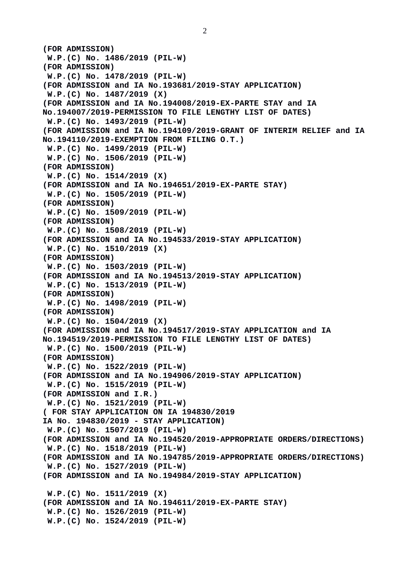```
(FOR ADMISSION)
 W.P.(C) No. 1486/2019 (PIL-W)
(FOR ADMISSION)
 W.P.(C) No. 1478/2019 (PIL-W)
(FOR ADMISSION and IA No.193681/2019-STAY APPLICATION)
 W.P.(C) No. 1487/2019 (X)
(FOR ADMISSION and IA No.194008/2019-EX-PARTE STAY and IA 
No.194007/2019-PERMISSION TO FILE LENGTHY LIST OF DATES)
 W.P.(C) No. 1493/2019 (PIL-W)
(FOR ADMISSION and IA No.194109/2019-GRANT OF INTERIM RELIEF and IA
No.194110/2019-EXEMPTION FROM FILING O.T.)
 W.P.(C) No. 1499/2019 (PIL-W)
 W.P.(C) No. 1506/2019 (PIL-W)
(FOR ADMISSION)
 W.P.(C) No. 1514/2019 (X)
(FOR ADMISSION and IA No.194651/2019-EX-PARTE STAY)
 W.P.(C) No. 1505/2019 (PIL-W)
(FOR ADMISSION)
 W.P.(C) No. 1509/2019 (PIL-W)
(FOR ADMISSION)
 W.P.(C) No. 1508/2019 (PIL-W)
(FOR ADMISSION and IA No.194533/2019-STAY APPLICATION)
 W.P.(C) No. 1510/2019 (X)
(FOR ADMISSION)
 W.P.(C) No. 1503/2019 (PIL-W)
(FOR ADMISSION and IA No.194513/2019-STAY APPLICATION)
 W.P.(C) No. 1513/2019 (PIL-W)
(FOR ADMISSION)
 W.P.(C) No. 1498/2019 (PIL-W)
(FOR ADMISSION)
 W.P.(C) No. 1504/2019 (X)
(FOR ADMISSION and IA No.194517/2019-STAY APPLICATION and IA 
No.194519/2019-PERMISSION TO FILE LENGTHY LIST OF DATES)
 W.P.(C) No. 1500/2019 (PIL-W)
(FOR ADMISSION)
 W.P.(C) No. 1522/2019 (PIL-W)
(FOR ADMISSION and IA No.194906/2019-STAY APPLICATION)
 W.P.(C) No. 1515/2019 (PIL-W)
(FOR ADMISSION and I.R.)
 W.P.(C) No. 1521/2019 (PIL-W)
( FOR STAY APPLICATION ON IA 194830/2019
IA No. 194830/2019 - STAY APPLICATION)
 W.P.(C) No. 1507/2019 (PIL-W)
(FOR ADMISSION and IA No.194520/2019-APPROPRIATE ORDERS/DIRECTIONS)
 W.P.(C) No. 1518/2019 (PIL-W)
(FOR ADMISSION and IA No.194785/2019-APPROPRIATE ORDERS/DIRECTIONS)
 W.P.(C) No. 1527/2019 (PIL-W)
(FOR ADMISSION and IA No.194984/2019-STAY APPLICATION)
 W.P.(C) No. 1511/2019 (X)
(FOR ADMISSION and IA No.194611/2019-EX-PARTE STAY)
 W.P.(C) No. 1526/2019 (PIL-W)
 W.P.(C) No. 1524/2019 (PIL-W)
```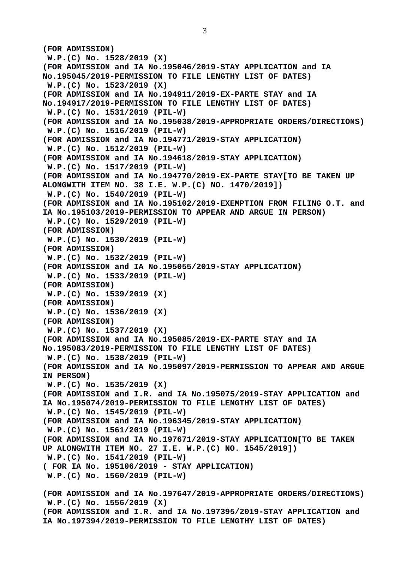**(FOR ADMISSION) W.P.(C) No. 1528/2019 (X) (FOR ADMISSION and IA No.195046/2019-STAY APPLICATION and IA No.195045/2019-PERMISSION TO FILE LENGTHY LIST OF DATES) W.P.(C) No. 1523/2019 (X) (FOR ADMISSION and IA No.194911/2019-EX-PARTE STAY and IA No.194917/2019-PERMISSION TO FILE LENGTHY LIST OF DATES) W.P.(C) No. 1531/2019 (PIL-W) (FOR ADMISSION and IA No.195038/2019-APPROPRIATE ORDERS/DIRECTIONS) W.P.(C) No. 1516/2019 (PIL-W) (FOR ADMISSION and IA No.194771/2019-STAY APPLICATION) W.P.(C) No. 1512/2019 (PIL-W) (FOR ADMISSION and IA No.194618/2019-STAY APPLICATION) W.P.(C) No. 1517/2019 (PIL-W) (FOR ADMISSION and IA No.194770/2019-EX-PARTE STAY[TO BE TAKEN UP ALONGWITH ITEM NO. 38 I.E. W.P.(C) NO. 1470/2019]) W.P.(C) No. 1540/2019 (PIL-W) (FOR ADMISSION and IA No.195102/2019-EXEMPTION FROM FILING O.T. and IA No.195103/2019-PERMISSION TO APPEAR AND ARGUE IN PERSON) W.P.(C) No. 1529/2019 (PIL-W) (FOR ADMISSION) W.P.(C) No. 1530/2019 (PIL-W) (FOR ADMISSION) W.P.(C) No. 1532/2019 (PIL-W) (FOR ADMISSION and IA No.195055/2019-STAY APPLICATION) W.P.(C) No. 1533/2019 (PIL-W) (FOR ADMISSION) W.P.(C) No. 1539/2019 (X) (FOR ADMISSION) W.P.(C) No. 1536/2019 (X) (FOR ADMISSION) W.P.(C) No. 1537/2019 (X) (FOR ADMISSION and IA No.195085/2019-EX-PARTE STAY and IA No.195083/2019-PERMISSION TO FILE LENGTHY LIST OF DATES) W.P.(C) No. 1538/2019 (PIL-W) (FOR ADMISSION and IA No.195097/2019-PERMISSION TO APPEAR AND ARGUE IN PERSON) W.P.(C) No. 1535/2019 (X) (FOR ADMISSION and I.R. and IA No.195075/2019-STAY APPLICATION and IA No.195074/2019-PERMISSION TO FILE LENGTHY LIST OF DATES) W.P.(C) No. 1545/2019 (PIL-W) (FOR ADMISSION and IA No.196345/2019-STAY APPLICATION) W.P.(C) No. 1561/2019 (PIL-W) (FOR ADMISSION and IA No.197671/2019-STAY APPLICATION[TO BE TAKEN UP ALONGWITH ITEM NO. 27 I.E. W.P.(C) NO. 1545/2019]) W.P.(C) No. 1541/2019 (PIL-W) ( FOR IA No. 195106/2019 - STAY APPLICATION) W.P.(C) No. 1560/2019 (PIL-W) (FOR ADMISSION and IA No.197647/2019-APPROPRIATE ORDERS/DIRECTIONS) W.P.(C) No. 1556/2019 (X) (FOR ADMISSION and I.R. and IA No.197395/2019-STAY APPLICATION and IA No.197394/2019-PERMISSION TO FILE LENGTHY LIST OF DATES)**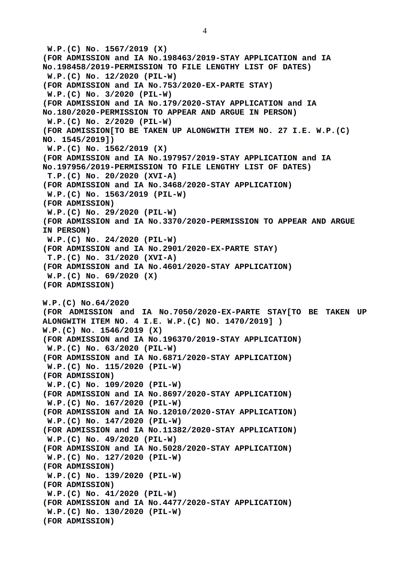**W.P.(C) No. 1567/2019 (X) (FOR ADMISSION and IA No.198463/2019-STAY APPLICATION and IA No.198458/2019-PERMISSION TO FILE LENGTHY LIST OF DATES) W.P.(C) No. 12/2020 (PIL-W) (FOR ADMISSION and IA No.753/2020-EX-PARTE STAY) W.P.(C) No. 3/2020 (PIL-W) (FOR ADMISSION and IA No.179/2020-STAY APPLICATION and IA No.180/2020-PERMISSION TO APPEAR AND ARGUE IN PERSON) W.P.(C) No. 2/2020 (PIL-W) (FOR ADMISSION[TO BE TAKEN UP ALONGWITH ITEM NO. 27 I.E. W.P.(C) NO. 1545/2019]) W.P.(C) No. 1562/2019 (X) (FOR ADMISSION and IA No.197957/2019-STAY APPLICATION and IA No.197956/2019-PERMISSION TO FILE LENGTHY LIST OF DATES) T.P.(C) No. 20/2020 (XVI-A) (FOR ADMISSION and IA No.3468/2020-STAY APPLICATION) W.P.(C) No. 1563/2019 (PIL-W) (FOR ADMISSION) W.P.(C) No. 29/2020 (PIL-W) (FOR ADMISSION and IA No.3370/2020-PERMISSION TO APPEAR AND ARGUE IN PERSON) W.P.(C) No. 24/2020 (PIL-W) (FOR ADMISSION and IA No.2901/2020-EX-PARTE STAY) T.P.(C) No. 31/2020 (XVI-A) (FOR ADMISSION and IA No.4601/2020-STAY APPLICATION) W.P.(C) No. 69/2020 (X) (FOR ADMISSION) W.P.(C) No.64/2020 (FOR ADMISSION and IA No.7050/2020-EX-PARTE STAY[TO BE TAKEN UP ALONGWITH ITEM NO. 4 I.E. W.P.(C) NO. 1470/2019] ) W.P.(C) No. 1546/2019 (X) (FOR ADMISSION and IA No.196370/2019-STAY APPLICATION) W.P.(C) No. 63/2020 (PIL-W) (FOR ADMISSION and IA No.6871/2020-STAY APPLICATION) W.P.(C) No. 115/2020 (PIL-W) (FOR ADMISSION) W.P.(C) No. 109/2020 (PIL-W) (FOR ADMISSION and IA No.8697/2020-STAY APPLICATION) W.P.(C) No. 167/2020 (PIL-W) (FOR ADMISSION and IA No.12010/2020-STAY APPLICATION) W.P.(C) No. 147/2020 (PIL-W) (FOR ADMISSION and IA No.11382/2020-STAY APPLICATION) W.P.(C) No. 49/2020 (PIL-W) (FOR ADMISSION and IA No.5028/2020-STAY APPLICATION) W.P.(C) No. 127/2020 (PIL-W) (FOR ADMISSION) W.P.(C) No. 139/2020 (PIL-W) (FOR ADMISSION) W.P.(C) No. 41/2020 (PIL-W) (FOR ADMISSION and IA No.4477/2020-STAY APPLICATION) W.P.(C) No. 130/2020 (PIL-W) (FOR ADMISSION)**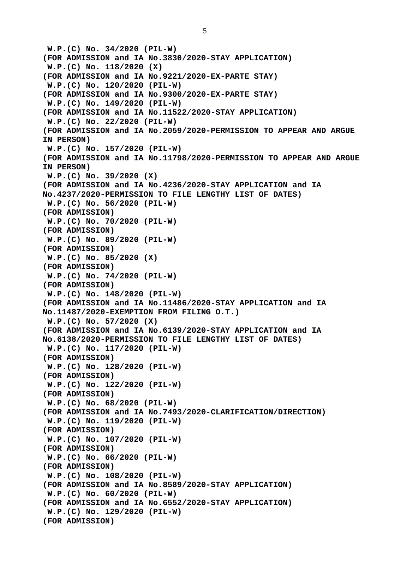5

 **W.P.(C) No. 34/2020 (PIL-W) (FOR ADMISSION and IA No.3830/2020-STAY APPLICATION) W.P.(C) No. 118/2020 (X) (FOR ADMISSION and IA No.9221/2020-EX-PARTE STAY) W.P.(C) No. 120/2020 (PIL-W) (FOR ADMISSION and IA No.9300/2020-EX-PARTE STAY) W.P.(C) No. 149/2020 (PIL-W) (FOR ADMISSION and IA No.11522/2020-STAY APPLICATION) W.P.(C) No. 22/2020 (PIL-W) (FOR ADMISSION and IA No.2059/2020-PERMISSION TO APPEAR AND ARGUE IN PERSON) W.P.(C) No. 157/2020 (PIL-W) (FOR ADMISSION and IA No.11798/2020-PERMISSION TO APPEAR AND ARGUE IN PERSON) W.P.(C) No. 39/2020 (X) (FOR ADMISSION and IA No.4236/2020-STAY APPLICATION and IA No.4237/2020-PERMISSION TO FILE LENGTHY LIST OF DATES) W.P.(C) No. 56/2020 (PIL-W) (FOR ADMISSION) W.P.(C) No. 70/2020 (PIL-W) (FOR ADMISSION) W.P.(C) No. 89/2020 (PIL-W) (FOR ADMISSION) W.P.(C) No. 85/2020 (X) (FOR ADMISSION) W.P.(C) No. 74/2020 (PIL-W) (FOR ADMISSION) W.P.(C) No. 148/2020 (PIL-W) (FOR ADMISSION and IA No.11486/2020-STAY APPLICATION and IA No.11487/2020-EXEMPTION FROM FILING O.T.) W.P.(C) No. 57/2020 (X) (FOR ADMISSION and IA No.6139/2020-STAY APPLICATION and IA No.6138/2020-PERMISSION TO FILE LENGTHY LIST OF DATES) W.P.(C) No. 117/2020 (PIL-W) (FOR ADMISSION) W.P.(C) No. 128/2020 (PIL-W) (FOR ADMISSION) W.P.(C) No. 122/2020 (PIL-W) (FOR ADMISSION) W.P.(C) No. 68/2020 (PIL-W) (FOR ADMISSION and IA No.7493/2020-CLARIFICATION/DIRECTION) W.P.(C) No. 119/2020 (PIL-W) (FOR ADMISSION) W.P.(C) No. 107/2020 (PIL-W) (FOR ADMISSION) W.P.(C) No. 66/2020 (PIL-W) (FOR ADMISSION) W.P.(C) No. 108/2020 (PIL-W) (FOR ADMISSION and IA No.8589/2020-STAY APPLICATION) W.P.(C) No. 60/2020 (PIL-W) (FOR ADMISSION and IA No.6552/2020-STAY APPLICATION) W.P.(C) No. 129/2020 (PIL-W) (FOR ADMISSION)**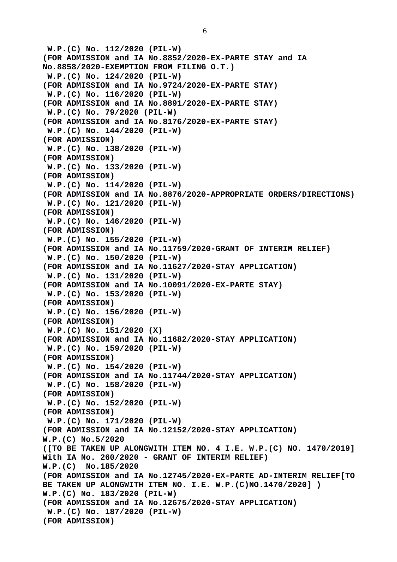**W.P.(C) No. 112/2020 (PIL-W) (FOR ADMISSION and IA No.8852/2020-EX-PARTE STAY and IA No.8858/2020-EXEMPTION FROM FILING O.T.) W.P.(C) No. 124/2020 (PIL-W) (FOR ADMISSION and IA No.9724/2020-EX-PARTE STAY) W.P.(C) No. 116/2020 (PIL-W) (FOR ADMISSION and IA No.8891/2020-EX-PARTE STAY) W.P.(C) No. 79/2020 (PIL-W) (FOR ADMISSION and IA No.8176/2020-EX-PARTE STAY) W.P.(C) No. 144/2020 (PIL-W) (FOR ADMISSION) W.P.(C) No. 138/2020 (PIL-W) (FOR ADMISSION) W.P.(C) No. 133/2020 (PIL-W) (FOR ADMISSION) W.P.(C) No. 114/2020 (PIL-W) (FOR ADMISSION and IA No.8876/2020-APPROPRIATE ORDERS/DIRECTIONS) W.P.(C) No. 121/2020 (PIL-W) (FOR ADMISSION) W.P.(C) No. 146/2020 (PIL-W) (FOR ADMISSION) W.P.(C) No. 155/2020 (PIL-W) (FOR ADMISSION and IA No.11759/2020-GRANT OF INTERIM RELIEF) W.P.(C) No. 150/2020 (PIL-W) (FOR ADMISSION and IA No.11627/2020-STAY APPLICATION) W.P.(C) No. 131/2020 (PIL-W) (FOR ADMISSION and IA No.10091/2020-EX-PARTE STAY) W.P.(C) No. 153/2020 (PIL-W) (FOR ADMISSION) W.P.(C) No. 156/2020 (PIL-W) (FOR ADMISSION) W.P.(C) No. 151/2020 (X) (FOR ADMISSION and IA No.11682/2020-STAY APPLICATION) W.P.(C) No. 159/2020 (PIL-W) (FOR ADMISSION) W.P.(C) No. 154/2020 (PIL-W) (FOR ADMISSION and IA No.11744/2020-STAY APPLICATION) W.P.(C) No. 158/2020 (PIL-W) (FOR ADMISSION) W.P.(C) No. 152/2020 (PIL-W) (FOR ADMISSION) W.P.(C) No. 171/2020 (PIL-W) (FOR ADMISSION and IA No.12152/2020-STAY APPLICATION) W.P.(C) No.5/2020 ([TO BE TAKEN UP ALONGWITH ITEM NO. 4 I.E. W.P.(C) NO. 1470/2019] With IA No. 260/2020 - GRANT OF INTERIM RELIEF) W.P.(C) No.185/2020 (FOR ADMISSION and IA No.12745/2020-EX-PARTE AD-INTERIM RELIEF[TO BE TAKEN UP ALONGWITH ITEM NO. I.E. W.P.(C)NO.1470/2020] ) W.P.(C) No. 183/2020 (PIL-W) (FOR ADMISSION and IA No.12675/2020-STAY APPLICATION) W.P.(C) No. 187/2020 (PIL-W)**

**(FOR ADMISSION)**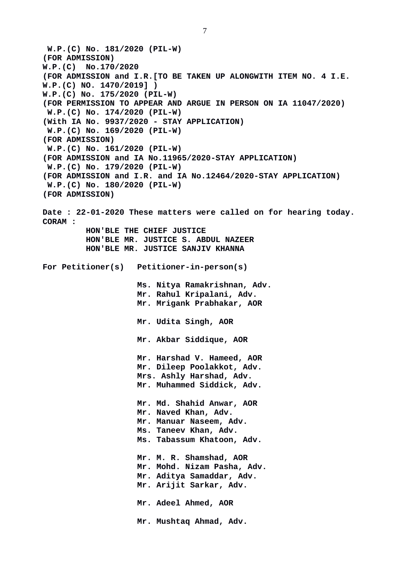**W.P.(C) No. 181/2020 (PIL-W) (FOR ADMISSION) W.P.(C) No.170/2020 (FOR ADMISSION and I.R.[TO BE TAKEN UP ALONGWITH ITEM NO. 4 I.E. W.P.(C) NO. 1470/2019] ) W.P.(C) No. 175/2020 (PIL-W) (FOR PERMISSION TO APPEAR AND ARGUE IN PERSON ON IA 11047/2020) W.P.(C) No. 174/2020 (PIL-W) (With IA No. 9937/2020 - STAY APPLICATION) W.P.(C) No. 169/2020 (PIL-W) (FOR ADMISSION) W.P.(C) No. 161/2020 (PIL-W) (FOR ADMISSION and IA No.11965/2020-STAY APPLICATION) W.P.(C) No. 179/2020 (PIL-W) (FOR ADMISSION and I.R. and IA No.12464/2020-STAY APPLICATION) W.P.(C) No. 180/2020 (PIL-W) (FOR ADMISSION) Date : 22-01-2020 These matters were called on for hearing today. CORAM : HON'BLE THE CHIEF JUSTICE HON'BLE MR. JUSTICE S. ABDUL NAZEER HON'BLE MR. JUSTICE SANJIV KHANNA For Petitioner(s) Petitioner-in-person(s) Ms. Nitya Ramakrishnan, Adv. Mr. Rahul Kripalani, Adv. Mr. Mrigank Prabhakar, AOR Mr. Udita Singh, AOR Mr. Akbar Siddique, AOR Mr. Harshad V. Hameed, AOR Mr. Dileep Poolakkot, Adv. Mrs. Ashly Harshad, Adv. Mr. Muhammed Siddick, Adv. Mr. Md. Shahid Anwar, AOR Mr. Naved Khan, Adv. Mr. Manuar Naseem, Adv. Ms. Taneev Khan, Adv. Ms. Tabassum Khatoon, Adv. Mr. M. R. Shamshad, AOR Mr. Mohd. Nizam Pasha, Adv. Mr. Aditya Samaddar, Adv. Mr. Arijit Sarkar, Adv. Mr. Adeel Ahmed, AOR Mr. Mushtaq Ahmad, Adv.**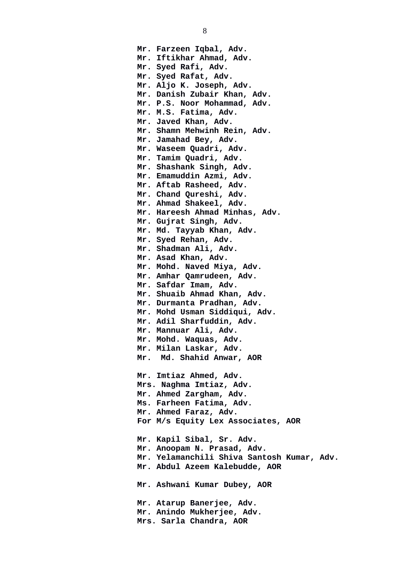**Mr. Farzeen Iqbal, Adv. Mr. Iftikhar Ahmad, Adv. Mr. Syed Rafi, Adv. Mr. Syed Rafat, Adv. Mr. Aljo K. Joseph, Adv. Mr. Danish Zubair Khan, Adv. Mr. P.S. Noor Mohammad, Adv. Mr. M.S. Fatima, Adv. Mr. Javed Khan, Adv. Mr. Shamn Mehwinh Rein, Adv. Mr. Jamahad Bey, Adv. Mr. Waseem Quadri, Adv. Mr. Tamim Quadri, Adv. Mr. Shashank Singh, Adv. Mr. Emamuddin Azmi, Adv. Mr. Aftab Rasheed, Adv. Mr. Chand Qureshi, Adv. Mr. Ahmad Shakeel, Adv. Mr. Hareesh Ahmad Minhas, Adv. Mr. Gujrat Singh, Adv. Mr. Md. Tayyab Khan, Adv. Mr. Syed Rehan, Adv. Mr. Shadman Ali, Adv. Mr. Asad Khan, Adv. Mr. Mohd. Naved Miya, Adv. Mr. Amhar Qamrudeen, Adv. Mr. Safdar Imam, Adv. Mr. Shuaib Ahmad Khan, Adv. Mr. Durmanta Pradhan, Adv. Mr. Mohd Usman Siddiqui, Adv. Mr. Adil Sharfuddin, Adv. Mr. Mannuar Ali, Adv. Mr. Mohd. Waquas, Adv. Mr. Milan Laskar, Adv. Mr. Md. Shahid Anwar, AOR Mr. Imtiaz Ahmed, Adv. Mrs. Naghma Imtiaz, Adv. Mr. Ahmed Zargham, Adv. Ms. Farheen Fatima, Adv. Mr. Ahmed Faraz, Adv. For M/s Equity Lex Associates, AOR Mr. Kapil Sibal, Sr. Adv. Mr. Anoopam N. Prasad, Adv. Mr. Yelamanchili Shiva Santosh Kumar, Adv. Mr. Abdul Azeem Kalebudde, AOR Mr. Ashwani Kumar Dubey, AOR Mr. Atarup Banerjee, Adv. Mr. Anindo Mukherjee, Adv. Mrs. Sarla Chandra, AOR**

8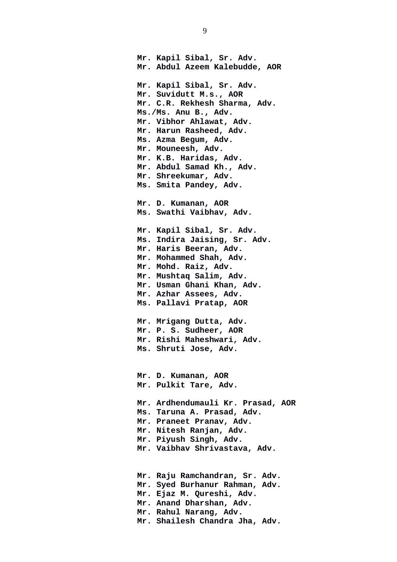**Mr. Kapil Sibal, Sr. Adv. Mr. Abdul Azeem Kalebudde, AOR Mr. Kapil Sibal, Sr. Adv. Mr. Suvidutt M.s., AOR Mr. C.R. Rekhesh Sharma, Adv. Ms./Ms. Anu B., Adv. Mr. Vibhor Ahlawat, Adv. Mr. Harun Rasheed, Adv. Ms. Azma Begum, Adv. Mr. Mouneesh, Adv. Mr. K.B. Haridas, Adv. Mr. Abdul Samad Kh., Adv. Mr. Shreekumar, Adv. Ms. Smita Pandey, Adv. Mr. D. Kumanan, AOR Ms. Swathi Vaibhav, Adv. Mr. Kapil Sibal, Sr. Adv. Ms. Indira Jaising, Sr. Adv. Mr. Haris Beeran, Adv. Mr. Mohammed Shah, Adv. Mr. Mohd. Raiz, Adv. Mr. Mushtaq Salim, Adv. Mr. Usman Ghani Khan, Adv. Mr. Azhar Assees, Adv. Ms. Pallavi Pratap, AOR Mr. Mrigang Dutta, Adv. Mr. P. S. Sudheer, AOR Mr. Rishi Maheshwari, Adv. Ms. Shruti Jose, Adv. Mr. D. Kumanan, AOR Mr. Pulkit Tare, Adv. Mr. Ardhendumauli Kr. Prasad, AOR Ms. Taruna A. Prasad, Adv. Mr. Praneet Pranav, Adv. Mr. Nitesh Ranjan, Adv. Mr. Piyush Singh, Adv. Mr. Vaibhav Shrivastava, Adv. Mr. Raju Ramchandran, Sr. Adv. Mr. Syed Burhanur Rahman, Adv. Mr. Ejaz M. Qureshi, Adv. Mr. Anand Dharshan, Adv.** 

- **Mr. Rahul Narang, Adv.**
- **Mr. Shailesh Chandra Jha, Adv.**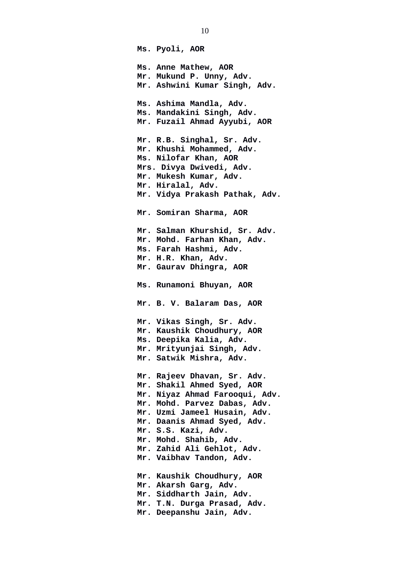**Ms. Pyoli, AOR Ms. Anne Mathew, AOR Mr. Mukund P. Unny, Adv. Mr. Ashwini Kumar Singh, Adv. Ms. Ashima Mandla, Adv. Ms. Mandakini Singh, Adv. Mr. Fuzail Ahmad Ayyubi, AOR Mr. R.B. Singhal, Sr. Adv. Mr. Khushi Mohammed, Adv. Ms. Nilofar Khan, AOR Mrs. Divya Dwivedi, Adv. Mr. Mukesh Kumar, Adv. Mr. Hiralal, Adv. Mr. Vidya Prakash Pathak, Adv. Mr. Somiran Sharma, AOR Mr. Salman Khurshid, Sr. Adv. Mr. Mohd. Farhan Khan, Adv. Ms. Farah Hashmi, Adv. Mr. H.R. Khan, Adv. Mr. Gaurav Dhingra, AOR Ms. Runamoni Bhuyan, AOR Mr. B. V. Balaram Das, AOR Mr. Vikas Singh, Sr. Adv. Mr. Kaushik Choudhury, AOR Ms. Deepika Kalia, Adv. Mr. Mrityunjai Singh, Adv. Mr. Satwik Mishra, Adv. Mr. Rajeev Dhavan, Sr. Adv. Mr. Shakil Ahmed Syed, AOR Mr. Niyaz Ahmad Farooqui, Adv. Mr. Mohd. Parvez Dabas, Adv. Mr. Uzmi Jameel Husain, Adv. Mr. Daanis Ahmad Syed, Adv. Mr. S.S. Kazi, Adv. Mr. Mohd. Shahib, Adv. Mr. Zahid Ali Gehlot, Adv. Mr. Vaibhav Tandon, Adv. Mr. Kaushik Choudhury, AOR Mr. Akarsh Garg, Adv. Mr. Siddharth Jain, Adv. Mr. T.N. Durga Prasad, Adv. Mr. Deepanshu Jain, Adv.**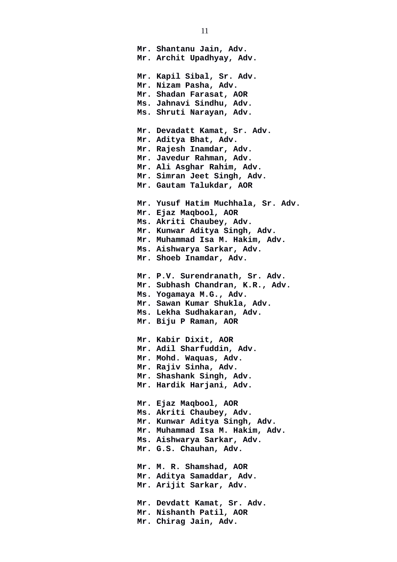**Mr. Shantanu Jain, Adv. Mr. Archit Upadhyay, Adv. Mr. Kapil Sibal, Sr. Adv. Mr. Nizam Pasha, Adv. Mr. Shadan Farasat, AOR Ms. Jahnavi Sindhu, Adv. Ms. Shruti Narayan, Adv. Mr. Devadatt Kamat, Sr. Adv. Mr. Aditya Bhat, Adv. Mr. Rajesh Inamdar, Adv. Mr. Javedur Rahman, Adv. Mr. Ali Asghar Rahim, Adv. Mr. Simran Jeet Singh, Adv. Mr. Gautam Talukdar, AOR Mr. Yusuf Hatim Muchhala, Sr. Adv. Mr. Ejaz Maqbool, AOR Ms. Akriti Chaubey, Adv. Mr. Kunwar Aditya Singh, Adv. Mr. Muhammad Isa M. Hakim, Adv. Ms. Aishwarya Sarkar, Adv. Mr. Shoeb Inamdar, Adv. Mr. P.V. Surendranath, Sr. Adv. Mr. Subhash Chandran, K.R., Adv. Ms. Yogamaya M.G., Adv. Mr. Sawan Kumar Shukla, Adv. Ms. Lekha Sudhakaran, Adv. Mr. Biju P Raman, AOR Mr. Kabir Dixit, AOR Mr. Adil Sharfuddin, Adv. Mr. Mohd. Waquas, Adv. Mr. Rajiv Sinha, Adv. Mr. Shashank Singh, Adv. Mr. Hardik Harjani, Adv. Mr. Ejaz Maqbool, AOR Ms. Akriti Chaubey, Adv. Mr. Kunwar Aditya Singh, Adv. Mr. Muhammad Isa M. Hakim, Adv. Ms. Aishwarya Sarkar, Adv. Mr. G.S. Chauhan, Adv. Mr. M. R. Shamshad, AOR Mr. Aditya Samaddar, Adv. Mr. Arijit Sarkar, Adv. Mr. Devdatt Kamat, Sr. Adv. Mr. Nishanth Patil, AOR Mr. Chirag Jain, Adv.**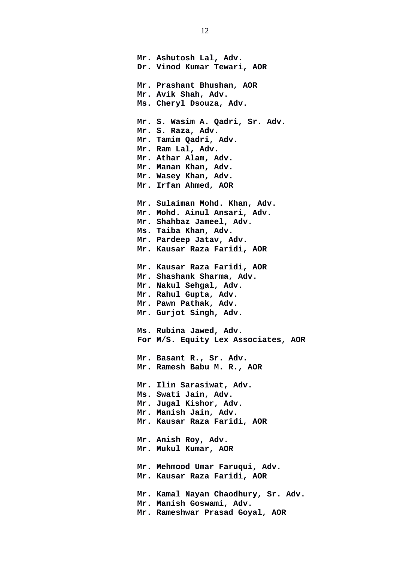**Mr. Ashutosh Lal, Adv. Dr. Vinod Kumar Tewari, AOR Mr. Prashant Bhushan, AOR Mr. Avik Shah, Adv. Ms. Cheryl Dsouza, Adv. Mr. S. Wasim A. Qadri, Sr. Adv. Mr. S. Raza, Adv. Mr. Tamim Qadri, Adv. Mr. Ram Lal, Adv. Mr. Athar Alam, Adv. Mr. Manan Khan, Adv. Mr. Wasey Khan, Adv. Mr. Irfan Ahmed, AOR Mr. Sulaiman Mohd. Khan, Adv. Mr. Mohd. Ainul Ansari, Adv. Mr. Shahbaz Jameel, Adv. Ms. Taiba Khan, Adv. Mr. Pardeep Jatav, Adv. Mr. Kausar Raza Faridi, AOR Mr. Kausar Raza Faridi, AOR Mr. Shashank Sharma, Adv. Mr. Nakul Sehgal, Adv. Mr. Rahul Gupta, Adv. Mr. Pawn Pathak, Adv. Mr. Gurjot Singh, Adv. Ms. Rubina Jawed, Adv. For M/S. Equity Lex Associates, AOR Mr. Basant R., Sr. Adv. Mr. Ramesh Babu M. R., AOR Mr. Ilin Sarasiwat, Adv. Ms. Swati Jain, Adv. Mr. Jugal Kishor, Adv. Mr. Manish Jain, Adv. Mr. Kausar Raza Faridi, AOR Mr. Anish Roy, Adv. Mr. Mukul Kumar, AOR Mr. Mehmood Umar Faruqui, Adv. Mr. Kausar Raza Faridi, AOR Mr. Kamal Nayan Chaodhury, Sr. Adv. Mr. Manish Goswami, Adv. Mr. Rameshwar Prasad Goyal, AOR**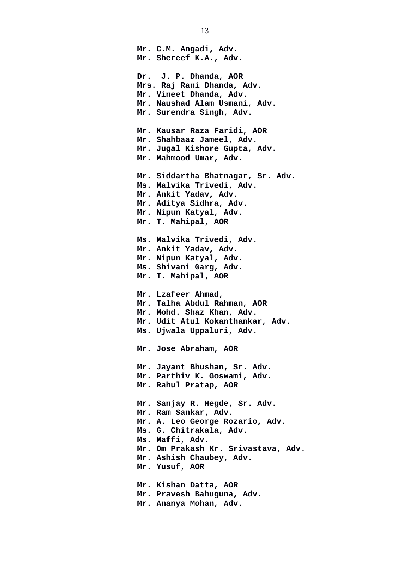**Mr. C.M. Angadi, Adv. Mr. Shereef K.A., Adv. Dr. J. P. Dhanda, AOR Mrs. Raj Rani Dhanda, Adv. Mr. Vineet Dhanda, Adv. Mr. Naushad Alam Usmani, Adv. Mr. Surendra Singh, Adv. Mr. Kausar Raza Faridi, AOR Mr. Shahbaaz Jameel, Adv. Mr. Jugal Kishore Gupta, Adv. Mr. Mahmood Umar, Adv. Mr. Siddartha Bhatnagar, Sr. Adv. Ms. Malvika Trivedi, Adv. Mr. Ankit Yadav, Adv. Mr. Aditya Sidhra, Adv. Mr. Nipun Katyal, Adv. Mr. T. Mahipal, AOR Ms. Malvika Trivedi, Adv. Mr. Ankit Yadav, Adv. Mr. Nipun Katyal, Adv. Ms. Shivani Garg, Adv. Mr. T. Mahipal, AOR Mr. Lzafeer Ahmad, Mr. Talha Abdul Rahman, AOR Mr. Mohd. Shaz Khan, Adv. Mr. Udit Atul Kokanthankar, Adv. Ms. Ujwala Uppaluri, Adv. Mr. Jose Abraham, AOR Mr. Jayant Bhushan, Sr. Adv. Mr. Parthiv K. Goswami, Adv. Mr. Rahul Pratap, AOR Mr. Sanjay R. Hegde, Sr. Adv. Mr. Ram Sankar, Adv. Mr. A. Leo George Rozario, Adv. Ms. G. Chitrakala, Adv. Ms. Maffi, Adv. Mr. Om Prakash Kr. Srivastava, Adv. Mr. Ashish Chaubey, Adv. Mr. Yusuf, AOR Mr. Kishan Datta, AOR Mr. Pravesh Bahuguna, Adv. Mr. Ananya Mohan, Adv.**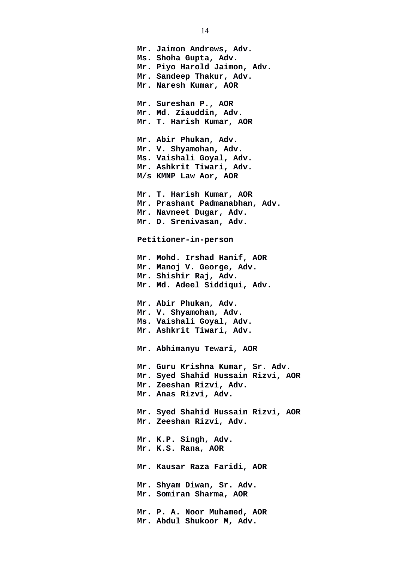**Mr. Jaimon Andrews, Adv. Ms. Shoha Gupta, Adv. Mr. Piyo Harold Jaimon, Adv. Mr. Sandeep Thakur, Adv. Mr. Naresh Kumar, AOR Mr. Sureshan P., AOR Mr. Md. Ziauddin, Adv. Mr. T. Harish Kumar, AOR Mr. Abir Phukan, Adv. Mr. V. Shyamohan, Adv. Ms. Vaishali Goyal, Adv. Mr. Ashkrit Tiwari, Adv. M/s KMNP Law Aor, AOR Mr. T. Harish Kumar, AOR Mr. Prashant Padmanabhan, Adv. Mr. Navneet Dugar, Adv. Mr. D. Srenivasan, Adv. Petitioner-in-person Mr. Mohd. Irshad Hanif, AOR Mr. Manoj V. George, Adv. Mr. Shishir Raj, Adv. Mr. Md. Adeel Siddiqui, Adv. Mr. Abir Phukan, Adv. Mr. V. Shyamohan, Adv. Ms. Vaishali Goyal, Adv. Mr. Ashkrit Tiwari, Adv. Mr. Abhimanyu Tewari, AOR Mr. Guru Krishna Kumar, Sr. Adv. Mr. Syed Shahid Hussain Rizvi, AOR Mr. Zeeshan Rizvi, Adv. Mr. Anas Rizvi, Adv. Mr. Syed Shahid Hussain Rizvi, AOR Mr. Zeeshan Rizvi, Adv. Mr. K.P. Singh, Adv. Mr. K.S. Rana, AOR Mr. Kausar Raza Faridi, AOR Mr. Shyam Diwan, Sr. Adv. Mr. Somiran Sharma, AOR Mr. P. A. Noor Muhamed, AOR Mr. Abdul Shukoor M, Adv.**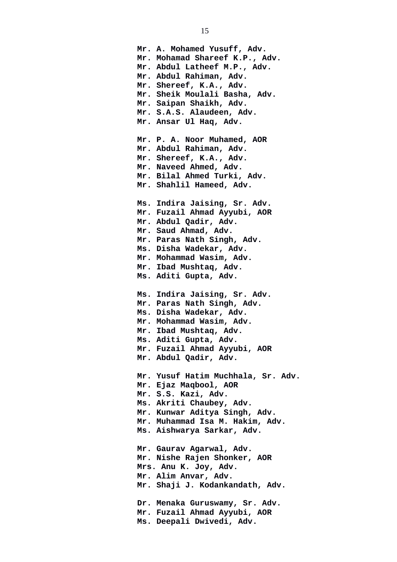**Mr. A. Mohamed Yusuff, Adv. Mr. Mohamad Shareef K.P., Adv. Mr. Abdul Latheef M.P., Adv. Mr. Abdul Rahiman, Adv. Mr. Shereef, K.A., Adv. Mr. Sheik Moulali Basha, Adv. Mr. Saipan Shaikh, Adv. Mr. S.A.S. Alaudeen, Adv. Mr. Ansar Ul Haq, Adv. Mr. P. A. Noor Muhamed, AOR Mr. Abdul Rahiman, Adv. Mr. Shereef, K.A., Adv. Mr. Naveed Ahmed, Adv. Mr. Bilal Ahmed Turki, Adv. Mr. Shahlil Hameed, Adv. Ms. Indira Jaising, Sr. Adv. Mr. Fuzail Ahmad Ayyubi, AOR Mr. Abdul Qadir, Adv. Mr. Saud Ahmad, Adv. Mr. Paras Nath Singh, Adv. Ms. Disha Wadekar, Adv. Mr. Mohammad Wasim, Adv. Mr. Ibad Mushtaq, Adv. Ms. Aditi Gupta, Adv. Ms. Indira Jaising, Sr. Adv. Mr. Paras Nath Singh, Adv. Ms. Disha Wadekar, Adv. Mr. Mohammad Wasim, Adv. Mr. Ibad Mushtaq, Adv. Ms. Aditi Gupta, Adv. Mr. Fuzail Ahmad Ayyubi, AOR Mr. Abdul Qadir, Adv. Mr. Yusuf Hatim Muchhala, Sr. Adv. Mr. Ejaz Maqbool, AOR Mr. S.S. Kazi, Adv. Ms. Akriti Chaubey, Adv. Mr. Kunwar Aditya Singh, Adv. Mr. Muhammad Isa M. Hakim, Adv. Ms. Aishwarya Sarkar, Adv. Mr. Gaurav Agarwal, Adv. Mr. Nishe Rajen Shonker, AOR Mrs. Anu K. Joy, Adv. Mr. Alim Anvar, Adv. Mr. Shaji J. Kodankandath, Adv. Dr. Menaka Guruswamy, Sr. Adv. Mr. Fuzail Ahmad Ayyubi, AOR Ms. Deepali Dwivedi, Adv.**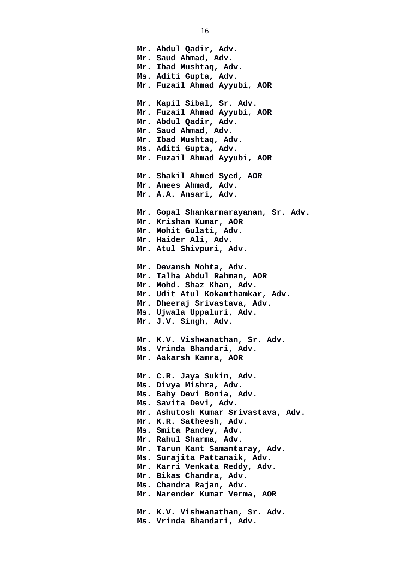**Mr. Abdul Qadir, Adv. Mr. Saud Ahmad, Adv. Mr. Ibad Mushtaq, Adv. Ms. Aditi Gupta, Adv. Mr. Fuzail Ahmad Ayyubi, AOR Mr. Kapil Sibal, Sr. Adv. Mr. Fuzail Ahmad Ayyubi, AOR Mr. Abdul Qadir, Adv. Mr. Saud Ahmad, Adv. Mr. Ibad Mushtaq, Adv. Ms. Aditi Gupta, Adv. Mr. Fuzail Ahmad Ayyubi, AOR Mr. Shakil Ahmed Syed, AOR Mr. Anees Ahmad, Adv. Mr. A.A. Ansari, Adv. Mr. Gopal Shankarnarayanan, Sr. Adv. Mr. Krishan Kumar, AOR Mr. Mohit Gulati, Adv. Mr. Haider Ali, Adv. Mr. Atul Shivpuri, Adv. Mr. Devansh Mohta, Adv. Mr. Talha Abdul Rahman, AOR Mr. Mohd. Shaz Khan, Adv. Mr. Udit Atul Kokamthamkar, Adv. Mr. Dheeraj Srivastava, Adv. Ms. Ujwala Uppaluri, Adv. Mr. J.V. Singh, Adv. Mr. K.V. Vishwanathan, Sr. Adv. Ms. Vrinda Bhandari, Adv. Mr. Aakarsh Kamra, AOR Mr. C.R. Jaya Sukin, Adv. Ms. Divya Mishra, Adv. Ms. Baby Devi Bonia, Adv. Ms. Savita Devi, Adv. Mr. Ashutosh Kumar Srivastava, Adv. Mr. K.R. Satheesh, Adv. Ms. Smita Pandey, Adv. Mr. Rahul Sharma, Adv. Mr. Tarun Kant Samantaray, Adv. Ms. Surajita Pattanaik, Adv. Mr. Karri Venkata Reddy, Adv. Mr. Bikas Chandra, Adv. Ms. Chandra Rajan, Adv. Mr. Narender Kumar Verma, AOR Mr. K.V. Vishwanathan, Sr. Adv. Ms. Vrinda Bhandari, Adv.**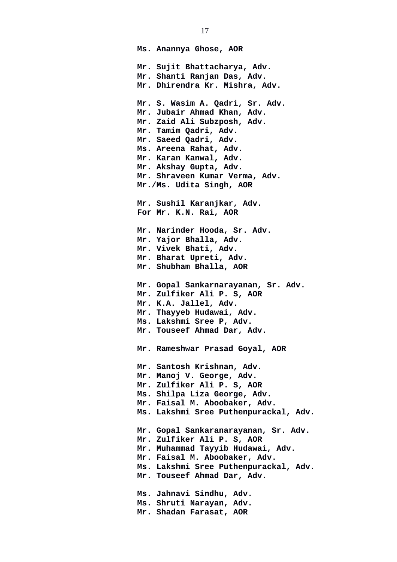**Ms. Anannya Ghose, AOR Mr. Sujit Bhattacharya, Adv. Mr. Shanti Ranjan Das, Adv. Mr. Dhirendra Kr. Mishra, Adv. Mr. S. Wasim A. Qadri, Sr. Adv. Mr. Jubair Ahmad Khan, Adv. Mr. Zaid Ali Subzposh, Adv. Mr. Tamim Qadri, Adv. Mr. Saeed Qadri, Adv. Ms. Areena Rahat, Adv. Mr. Karan Kanwal, Adv. Mr. Akshay Gupta, Adv. Mr. Shraveen Kumar Verma, Adv. Mr./Ms. Udita Singh, AOR Mr. Sushil Karanjkar, Adv. For Mr. K.N. Rai, AOR Mr. Narinder Hooda, Sr. Adv. Mr. Yajor Bhalla, Adv. Mr. Vivek Bhati, Adv. Mr. Bharat Upreti, Adv. Mr. Shubham Bhalla, AOR Mr. Gopal Sankarnarayanan, Sr. Adv. Mr. Zulfiker Ali P. S, AOR Mr. K.A. Jallel, Adv. Mr. Thayyeb Hudawai, Adv. Ms. Lakshmi Sree P, Adv. Mr. Touseef Ahmad Dar, Adv. Mr. Rameshwar Prasad Goyal, AOR Mr. Santosh Krishnan, Adv. Mr. Manoj V. George, Adv. Mr. Zulfiker Ali P. S, AOR Ms. Shilpa Liza George, Adv. Mr. Faisal M. Aboobaker, Adv. Ms. Lakshmi Sree Puthenpurackal, Adv. Mr. Gopal Sankaranarayanan, Sr. Adv. Mr. Zulfiker Ali P. S, AOR Mr. Muhammad Tayyib Hudawai, Adv. Mr. Faisal M. Aboobaker, Adv. Ms. Lakshmi Sree Puthenpurackal, Adv. Mr. Touseef Ahmad Dar, Adv. Ms. Jahnavi Sindhu, Adv. Ms. Shruti Narayan, Adv. Mr. Shadan Farasat, AOR**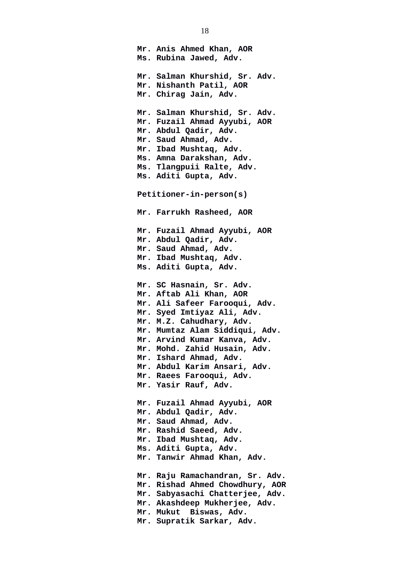**Mr. Anis Ahmed Khan, AOR Ms. Rubina Jawed, Adv. Mr. Salman Khurshid, Sr. Adv. Mr. Nishanth Patil, AOR Mr. Chirag Jain, Adv. Mr. Salman Khurshid, Sr. Adv. Mr. Fuzail Ahmad Ayyubi, AOR Mr. Abdul Qadir, Adv. Mr. Saud Ahmad, Adv. Mr. Ibad Mushtaq, Adv. Ms. Amna Darakshan, Adv. Ms. Tlangpuii Ralte, Adv. Ms. Aditi Gupta, Adv. Petitioner-in-person(s) Mr. Farrukh Rasheed, AOR Mr. Fuzail Ahmad Ayyubi, AOR Mr. Abdul Qadir, Adv. Mr. Saud Ahmad, Adv. Mr. Ibad Mushtaq, Adv. Ms. Aditi Gupta, Adv. Mr. SC Hasnain, Sr. Adv. Mr. Aftab Ali Khan, AOR Mr. Ali Safeer Farooqui, Adv. Mr. Syed Imtiyaz Ali, Adv. Mr. M.Z. Cahudhary, Adv. Mr. Mumtaz Alam Siddiqui, Adv. Mr. Arvind Kumar Kanva, Adv. Mr. Mohd. Zahid Husain, Adv. Mr. Ishard Ahmad, Adv. Mr. Abdul Karim Ansari, Adv. Mr. Raees Farooqui, Adv. Mr. Yasir Rauf, Adv. Mr. Fuzail Ahmad Ayyubi, AOR Mr. Abdul Qadir, Adv. Mr. Saud Ahmad, Adv. Mr. Rashid Saeed, Adv. Mr. Ibad Mushtaq, Adv. Ms. Aditi Gupta, Adv. Mr. Tanwir Ahmad Khan, Adv. Mr. Raju Ramachandran, Sr. Adv. Mr. Rishad Ahmed Chowdhury, AOR Mr. Sabyasachi Chatterjee, Adv. Mr. Akashdeep Mukherjee, Adv. Mr. Mukut Biswas, Adv. Mr. Supratik Sarkar, Adv.**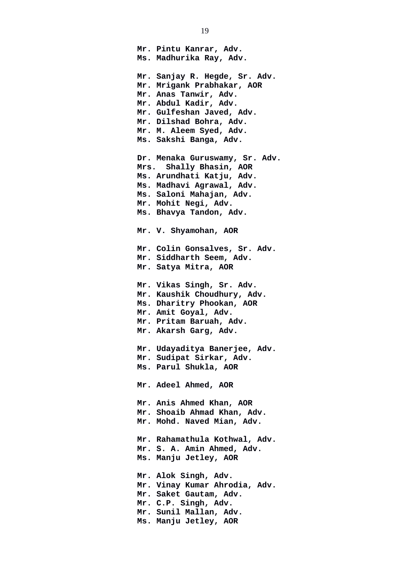**Mr. Pintu Kanrar, Adv. Ms. Madhurika Ray, Adv. Mr. Sanjay R. Hegde, Sr. Adv. Mr. Mrigank Prabhakar, AOR Mr. Anas Tanwir, Adv. Mr. Abdul Kadir, Adv. Mr. Gulfeshan Javed, Adv. Mr. Dilshad Bohra, Adv. Mr. M. Aleem Syed, Adv. Ms. Sakshi Banga, Adv. Dr. Menaka Guruswamy, Sr. Adv. Mrs. Shally Bhasin, AOR Ms. Arundhati Katju, Adv. Ms. Madhavi Agrawal, Adv. Ms. Saloni Mahajan, Adv. Mr. Mohit Negi, Adv. Ms. Bhavya Tandon, Adv. Mr. V. Shyamohan, AOR Mr. Colin Gonsalves, Sr. Adv. Mr. Siddharth Seem, Adv. Mr. Satya Mitra, AOR Mr. Vikas Singh, Sr. Adv. Mr. Kaushik Choudhury, Adv. Ms. Dharitry Phookan, AOR Mr. Amit Goyal, Adv. Mr. Pritam Baruah, Adv. Mr. Akarsh Garg, Adv. Mr. Udayaditya Banerjee, Adv. Mr. Sudipat Sirkar, Adv. Ms. Parul Shukla, AOR Mr. Adeel Ahmed, AOR Mr. Anis Ahmed Khan, AOR Mr. Shoaib Ahmad Khan, Adv. Mr. Mohd. Naved Mian, Adv. Mr. Rahamathula Kothwal, Adv. Mr. S. A. Amin Ahmed, Adv. Ms. Manju Jetley, AOR Mr. Alok Singh, Adv. Mr. Vinay Kumar Ahrodia, Adv. Mr. Saket Gautam, Adv. Mr. C.P. Singh, Adv. Mr. Sunil Mallan, Adv. Ms. Manju Jetley, AOR**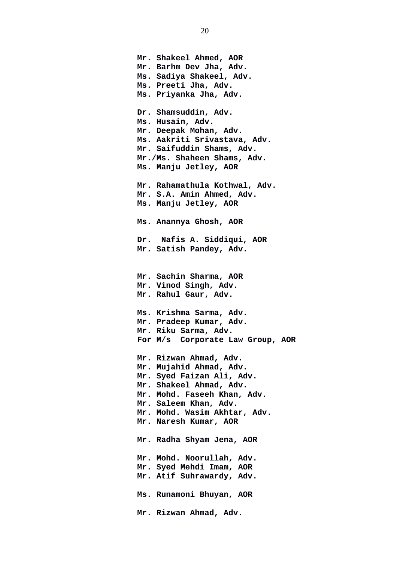**Mr. Shakeel Ahmed, AOR Mr. Barhm Dev Jha, Adv. Ms. Sadiya Shakeel, Adv. Ms. Preeti Jha, Adv. Ms. Priyanka Jha, Adv. Dr. Shamsuddin, Adv. Ms. Husain, Adv. Mr. Deepak Mohan, Adv. Ms. Aakriti Srivastava, Adv. Mr. Saifuddin Shams, Adv. Mr./Ms. Shaheen Shams, Adv. Ms. Manju Jetley, AOR Mr. Rahamathula Kothwal, Adv. Mr. S.A. Amin Ahmed, Adv. Ms. Manju Jetley, AOR Ms. Anannya Ghosh, AOR Dr. Nafis A. Siddiqui, AOR Mr. Satish Pandey, Adv. Mr. Sachin Sharma, AOR Mr. Vinod Singh, Adv. Mr. Rahul Gaur, Adv. Ms. Krishma Sarma, Adv. Mr. Pradeep Kumar, Adv. Mr. Riku Sarma, Adv. For M/s Corporate Law Group, AOR Mr. Rizwan Ahmad, Adv. Mr. Mujahid Ahmad, Adv. Mr. Syed Faizan Ali, Adv. Mr. Shakeel Ahmad, Adv. Mr. Mohd. Faseeh Khan, Adv. Mr. Saleem Khan, Adv. Mr. Mohd. Wasim Akhtar, Adv. Mr. Naresh Kumar, AOR Mr. Radha Shyam Jena, AOR Mr. Mohd. Noorullah, Adv. Mr. Syed Mehdi Imam, AOR Mr. Atif Suhrawardy, Adv. Ms. Runamoni Bhuyan, AOR Mr. Rizwan Ahmad, Adv.**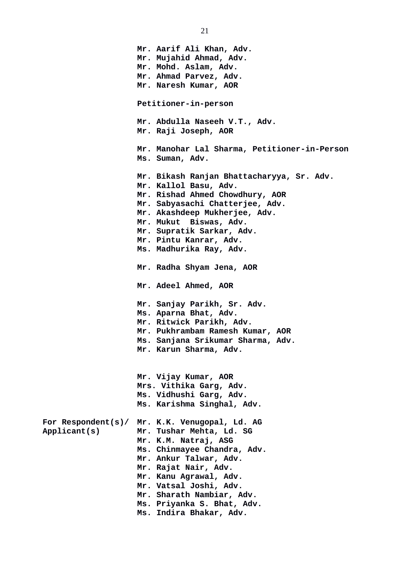**Mr. Aarif Ali Khan, Adv. Mr. Mujahid Ahmad, Adv. Mr. Mohd. Aslam, Adv. Mr. Ahmad Parvez, Adv. Mr. Naresh Kumar, AOR Petitioner-in-person Mr. Abdulla Naseeh V.T., Adv. Mr. Raji Joseph, AOR Mr. Manohar Lal Sharma, Petitioner-in-Person Ms. Suman, Adv. Mr. Bikash Ranjan Bhattacharyya, Sr. Adv. Mr. Kallol Basu, Adv. Mr. Rishad Ahmed Chowdhury, AOR Mr. Sabyasachi Chatterjee, Adv. Mr. Akashdeep Mukherjee, Adv. Mr. Mukut Biswas, Adv. Mr. Supratik Sarkar, Adv. Mr. Pintu Kanrar, Adv. Ms. Madhurika Ray, Adv. Mr. Radha Shyam Jena, AOR Mr. Adeel Ahmed, AOR Mr. Sanjay Parikh, Sr. Adv. Ms. Aparna Bhat, Adv. Mr. Ritwick Parikh, Adv. Mr. Pukhrambam Ramesh Kumar, AOR Ms. Sanjana Srikumar Sharma, Adv. Mr. Karun Sharma, Adv. Mr. Vijay Kumar, AOR Mrs. Vithika Garg, Adv. Ms. Vidhushi Garg, Adv. Ms. Karishma Singhal, Adv. For Respondent(s)/ Mr. K.K. Venugopal, Ld. AG Applicant(s) Mr. Tushar Mehta, Ld. SG Mr. K.M. Natraj, ASG Ms. Chinmayee Chandra, Adv. Mr. Ankur Talwar, Adv. Mr. Rajat Nair, Adv. Mr. Kanu Agrawal, Adv. Mr. Vatsal Joshi, Adv. Mr. Sharath Nambiar, Adv. Ms. Priyanka S. Bhat, Adv. Ms. Indira Bhakar, Adv.** 

21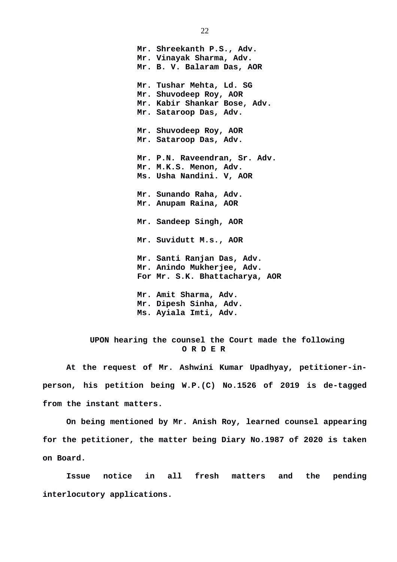**Mr. Shreekanth P.S., Adv. Mr. Vinayak Sharma, Adv. Mr. B. V. Balaram Das, AOR Mr. Tushar Mehta, Ld. SG Mr. Shuvodeep Roy, AOR Mr. Kabir Shankar Bose, Adv. Mr. Sataroop Das, Adv. Mr. Shuvodeep Roy, AOR Mr. Sataroop Das, Adv. Mr. P.N. Raveendran, Sr. Adv. Mr. M.K.S. Menon, Adv. Ms. Usha Nandini. V, AOR Mr. Sunando Raha, Adv. Mr. Anupam Raina, AOR Mr. Sandeep Singh, AOR Mr. Suvidutt M.s., AOR Mr. Santi Ranjan Das, Adv. Mr. Anindo Mukherjee, Adv. For Mr. S.K. Bhattacharya, AOR Mr. Amit Sharma, Adv. Mr. Dipesh Sinha, Adv. Ms. Ayiala Imti, Adv.** 

## **UPON hearing the counsel the Court made the following O R D E R**

**At the request of Mr. Ashwini Kumar Upadhyay, petitioner-inperson, his petition being W.P.(C) No.1526 of 2019 is de-tagged from the instant matters.** 

**On being mentioned by Mr. Anish Roy, learned counsel appearing for the petitioner, the matter being Diary No.1987 of 2020 is taken on Board.** 

**Issue notice in all fresh matters and the pending interlocutory applications.**